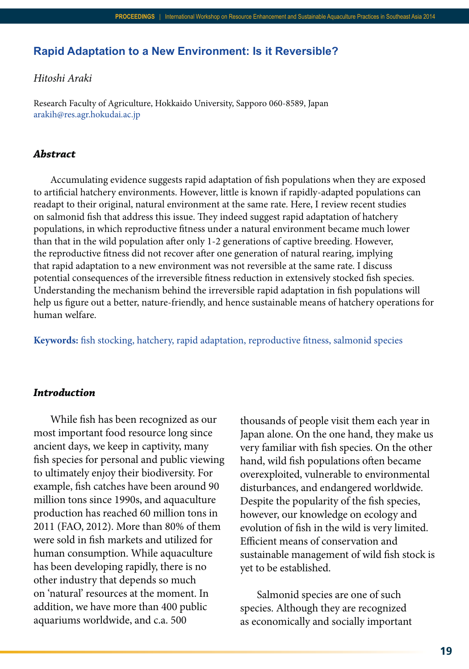# **Rapid Adaptation to a New Environment: Is it Reversible?**

## *Hitoshi Araki*

Research Faculty of Agriculture, Hokkaido University, Sapporo 060-8589, Japan arakih@res.agr.hokudai.ac.jp

## *Abstract*

Accumulating evidence suggests rapid adaptation of fish populations when they are exposed to artificial hatchery environments. However, little is known if rapidly-adapted populations can readapt to their original, natural environment at the same rate. Here, I review recent studies on salmonid fish that address this issue. They indeed suggest rapid adaptation of hatchery populations, in which reproductive fitness under a natural environment became much lower than that in the wild population after only 1-2 generations of captive breeding. However, the reproductive fitness did not recover after one generation of natural rearing, implying that rapid adaptation to a new environment was not reversible at the same rate. I discuss potential consequences of the irreversible fitness reduction in extensively stocked fish species. Understanding the mechanism behind the irreversible rapid adaptation in fish populations will help us figure out a better, nature-friendly, and hence sustainable means of hatchery operations for human welfare.

**Keywords:** fish stocking, hatchery, rapid adaptation, reproductive fitness, salmonid species

### *Introduction*

While fish has been recognized as our most important food resource long since ancient days, we keep in captivity, many fish species for personal and public viewing to ultimately enjoy their biodiversity. For example, fish catches have been around 90 million tons since 1990s, and aquaculture production has reached 60 million tons in 2011 (FAO, 2012). More than 80% of them were sold in fish markets and utilized for human consumption. While aquaculture has been developing rapidly, there is no other industry that depends so much on 'natural' resources at the moment. In addition, we have more than 400 public aquariums worldwide, and c.a. 500

thousands of people visit them each year in Japan alone. On the one hand, they make us very familiar with fish species. On the other hand, wild fish populations often became overexploited, vulnerable to environmental disturbances, and endangered worldwide. Despite the popularity of the fish species, however, our knowledge on ecology and evolution of fish in the wild is very limited. Efficient means of conservation and sustainable management of wild fish stock is yet to be established.

Salmonid species are one of such species. Although they are recognized as economically and socially important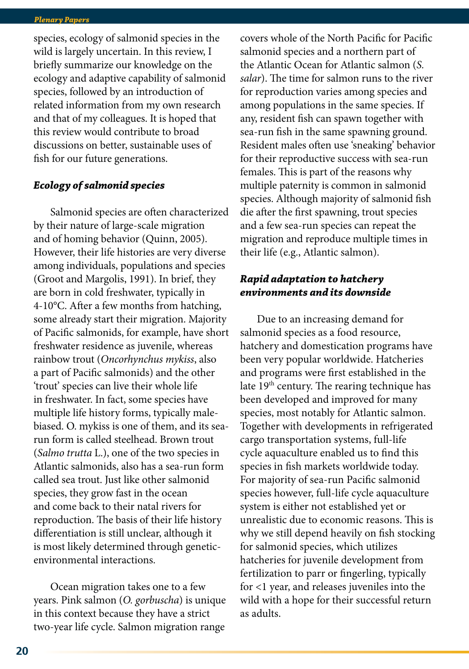species, ecology of salmonid species in the wild is largely uncertain. In this review, I briefly summarize our knowledge on the ecology and adaptive capability of salmonid species, followed by an introduction of related information from my own research and that of my colleagues. It is hoped that this review would contribute to broad discussions on better, sustainable uses of fish for our future generations.

## *Ecology of salmonid species*

Salmonid species are often characterized by their nature of large-scale migration and of homing behavior (Quinn, 2005). However, their life histories are very diverse among individuals, populations and species (Groot and Margolis, 1991). In brief, they are born in cold freshwater, typically in 4-10°C. After a few months from hatching, some already start their migration. Majority of Pacific salmonids, for example, have short freshwater residence as juvenile, whereas rainbow trout (*Oncorhynchus mykiss*, also a part of Pacific salmonids) and the other 'trout' species can live their whole life in freshwater. In fact, some species have multiple life history forms, typically malebiased. O. mykiss is one of them, and its searun form is called steelhead. Brown trout (*Salmo trutta* L.), one of the two species in Atlantic salmonids, also has a sea-run form called sea trout. Just like other salmonid species, they grow fast in the ocean and come back to their natal rivers for reproduction. The basis of their life history differentiation is still unclear, although it is most likely determined through geneticenvironmental interactions.

Ocean migration takes one to a few years. Pink salmon (*O. gorbuscha*) is unique in this context because they have a strict two-year life cycle. Salmon migration range

covers whole of the North Pacific for Pacific salmonid species and a northern part of the Atlantic Ocean for Atlantic salmon (*S. salar*). The time for salmon runs to the river for reproduction varies among species and among populations in the same species. If any, resident fish can spawn together with sea-run fish in the same spawning ground. Resident males often use 'sneaking' behavior for their reproductive success with sea-run females. This is part of the reasons why multiple paternity is common in salmonid species. Although majority of salmonid fish die after the first spawning, trout species and a few sea-run species can repeat the migration and reproduce multiple times in their life (e.g., Atlantic salmon).

## *Rapid adaptation to hatchery environments and its downside*

Due to an increasing demand for salmonid species as a food resource, hatchery and domestication programs have been very popular worldwide. Hatcheries and programs were first established in the late  $19<sup>th</sup>$  century. The rearing technique has been developed and improved for many species, most notably for Atlantic salmon. Together with developments in refrigerated cargo transportation systems, full-life cycle aquaculture enabled us to find this species in fish markets worldwide today. For majority of sea-run Pacific salmonid species however, full-life cycle aquaculture system is either not established yet or unrealistic due to economic reasons. This is why we still depend heavily on fish stocking for salmonid species, which utilizes hatcheries for juvenile development from fertilization to parr or fingerling, typically for <1 year, and releases juveniles into the wild with a hope for their successful return as adults.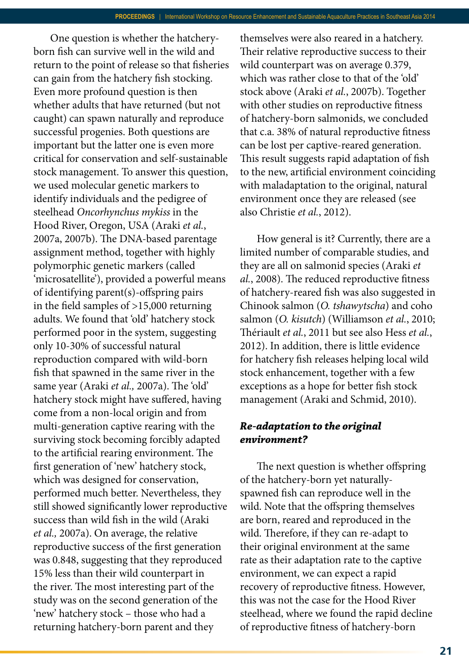One question is whether the hatcheryborn fish can survive well in the wild and return to the point of release so that fisheries can gain from the hatchery fish stocking. Even more profound question is then whether adults that have returned (but not caught) can spawn naturally and reproduce successful progenies. Both questions are important but the latter one is even more critical for conservation and self-sustainable stock management. To answer this question, we used molecular genetic markers to identify individuals and the pedigree of steelhead *Oncorhynchus mykiss* in the Hood River, Oregon, USA (Araki *et al.*, 2007a, 2007b). The DNA-based parentage assignment method, together with highly polymorphic genetic markers (called 'microsatellite'), provided a powerful means of identifying parent(s)-offspring pairs in the field samples of >15,000 returning adults. We found that 'old' hatchery stock performed poor in the system, suggesting only 10-30% of successful natural reproduction compared with wild-born fish that spawned in the same river in the same year (Araki *et al.,* 2007a). The 'old' hatchery stock might have suffered, having come from a non-local origin and from multi-generation captive rearing with the surviving stock becoming forcibly adapted to the artificial rearing environment. The first generation of 'new' hatchery stock, which was designed for conservation, performed much better. Nevertheless, they still showed significantly lower reproductive success than wild fish in the wild (Araki *et al.,* 2007a). On average, the relative reproductive success of the first generation was 0.848, suggesting that they reproduced 15% less than their wild counterpart in the river. The most interesting part of the study was on the second generation of the 'new' hatchery stock – those who had a returning hatchery-born parent and they

themselves were also reared in a hatchery. Their relative reproductive success to their wild counterpart was on average 0.379, which was rather close to that of the 'old' stock above (Araki *et al.*, 2007b). Together with other studies on reproductive fitness of hatchery-born salmonids, we concluded that c.a. 38% of natural reproductive fitness can be lost per captive-reared generation. This result suggests rapid adaptation of fish to the new, artificial environment coinciding with maladaptation to the original, natural environment once they are released (see also Christie *et al.*, 2012).

How general is it? Currently, there are a limited number of comparable studies, and they are all on salmonid species (Araki *et al.*, 2008). The reduced reproductive fitness of hatchery-reared fish was also suggested in Chinook salmon (*O. tshawytscha*) and coho salmon (*O. kisutch*) (Williamson *et al.*, 2010; Thériault *et al.*, 2011 but see also Hess *et al.*, 2012). In addition, there is little evidence for hatchery fish releases helping local wild stock enhancement, together with a few exceptions as a hope for better fish stock management (Araki and Schmid, 2010).

# *Re-adaptation to the original environment?*

The next question is whether offspring of the hatchery-born yet naturallyspawned fish can reproduce well in the wild. Note that the offspring themselves are born, reared and reproduced in the wild. Therefore, if they can re-adapt to their original environment at the same rate as their adaptation rate to the captive environment, we can expect a rapid recovery of reproductive fitness. However, this was not the case for the Hood River steelhead, where we found the rapid decline of reproductive fitness of hatchery-born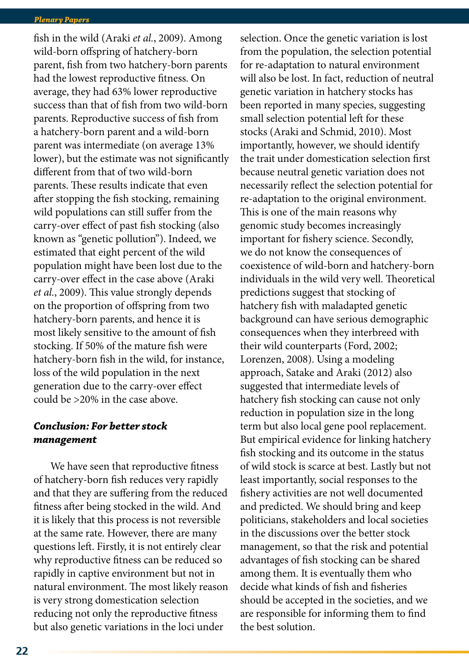fish in the wild (Araki *et al.*, 2009). Among wild-born offspring of hatchery-born parent, fish from two hatchery-born parents had the lowest reproductive fitness. On average, they had 63% lower reproductive success than that of fish from two wild-born parents. Reproductive success of fish from a hatchery-born parent and a wild-born parent was intermediate (on average 13% lower), but the estimate was not significantly different from that of two wild-born parents. These results indicate that even after stopping the fish stocking, remaining wild populations can still suffer from the carry-over effect of past fish stocking (also known as "genetic pollution"). Indeed, we estimated that eight percent of the wild population might have been lost due to the carry-over effect in the case above (Araki *et al.*, 2009). This value strongly depends on the proportion of offspring from two hatchery-born parents, and hence it is most likely sensitive to the amount of fish stocking. If 50% of the mature fish were hatchery-born fish in the wild, for instance, loss of the wild population in the next generation due to the carry-over effect could be >20% in the case above.

# *Conclusion: For better stock management*

We have seen that reproductive fitness of hatchery-born fish reduces very rapidly and that they are suffering from the reduced fitness after being stocked in the wild. And it is likely that this process is not reversible at the same rate. However, there are many questions left. Firstly, it is not entirely clear why reproductive fitness can be reduced so rapidly in captive environment but not in natural environment. The most likely reason is very strong domestication selection reducing not only the reproductive fitness but also genetic variations in the loci under

selection. Once the genetic variation is lost from the population, the selection potential for re-adaptation to natural environment will also be lost. In fact, reduction of neutral genetic variation in hatchery stocks has been reported in many species, suggesting small selection potential left for these stocks (Araki and Schmid, 2010). Most importantly, however, we should identify the trait under domestication selection first because neutral genetic variation does not necessarily reflect the selection potential for re-adaptation to the original environment. This is one of the main reasons why genomic study becomes increasingly important for fishery science. Secondly, we do not know the consequences of coexistence of wild-born and hatchery-born individuals in the wild very well. Theoretical predictions suggest that stocking of hatchery fish with maladapted genetic background can have serious demographic consequences when they interbreed with their wild counterparts (Ford, 2002; Lorenzen, 2008). Using a modeling approach, Satake and Araki (2012) also suggested that intermediate levels of hatchery fish stocking can cause not only reduction in population size in the long term but also local gene pool replacement. But empirical evidence for linking hatchery fish stocking and its outcome in the status of wild stock is scarce at best. Lastly but not least importantly, social responses to the fishery activities are not well documented and predicted. We should bring and keep politicians, stakeholders and local societies in the discussions over the better stock management, so that the risk and potential advantages of fish stocking can be shared among them. It is eventually them who decide what kinds of fish and fisheries should be accepted in the societies, and we are responsible for informing them to find the best solution.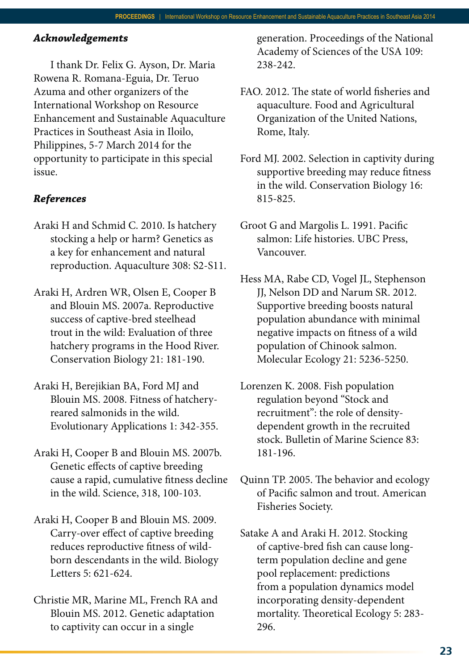### *Acknowledgements*

I thank Dr. Felix G. Ayson, Dr. Maria Rowena R. Romana-Eguia, Dr. Teruo Azuma and other organizers of the International Workshop on Resource Enhancement and Sustainable Aquaculture Practices in Southeast Asia in Iloilo, Philippines, 5-7 March 2014 for the opportunity to participate in this special issue.

### *References*

- Araki H and Schmid C. 2010. Is hatchery stocking a help or harm? Genetics as a key for enhancement and natural reproduction. Aquaculture 308: S2-S11.
- Araki H, Ardren WR, Olsen E, Cooper B and Blouin MS. 2007a. Reproductive success of captive-bred steelhead trout in the wild: Evaluation of three hatchery programs in the Hood River. Conservation Biology 21: 181-190.
- Araki H, Berejikian BA, Ford MJ and Blouin MS. 2008. Fitness of hatcheryreared salmonids in the wild. Evolutionary Applications 1: 342-355.
- Araki H, Cooper B and Blouin MS. 2007b. Genetic effects of captive breeding cause a rapid, cumulative fitness decline in the wild. Science, 318, 100-103.
- Araki H, Cooper B and Blouin MS. 2009. Carry-over effect of captive breeding reduces reproductive fitness of wildborn descendants in the wild. Biology Letters 5: 621-624.
- Christie MR, Marine ML, French RA and Blouin MS. 2012. Genetic adaptation to captivity can occur in a single

generation. Proceedings of the National Academy of Sciences of the USA 109: 238-242.

- FAO. 2012. The state of world fisheries and aquaculture. Food and Agricultural Organization of the United Nations, Rome, Italy.
- Ford MJ. 2002. Selection in captivity during supportive breeding may reduce fitness in the wild. Conservation Biology 16: 815-825.
- Groot G and Margolis L. 1991. Pacific salmon: Life histories. UBC Press, Vancouver.
- Hess MA, Rabe CD, Vogel JL, Stephenson JJ, Nelson DD and Narum SR. 2012. Supportive breeding boosts natural population abundance with minimal negative impacts on fitness of a wild population of Chinook salmon. Molecular Ecology 21: 5236-5250.
- Lorenzen K. 2008. Fish population regulation beyond "Stock and recruitment": the role of densitydependent growth in the recruited stock. Bulletin of Marine Science 83: 181-196.
- Quinn TP. 2005. The behavior and ecology of Pacific salmon and trout. American Fisheries Society.
- Satake A and Araki H. 2012. Stocking of captive-bred fish can cause longterm population decline and gene pool replacement: predictions from a population dynamics model incorporating density-dependent mortality. Theoretical Ecology 5: 283- 296.